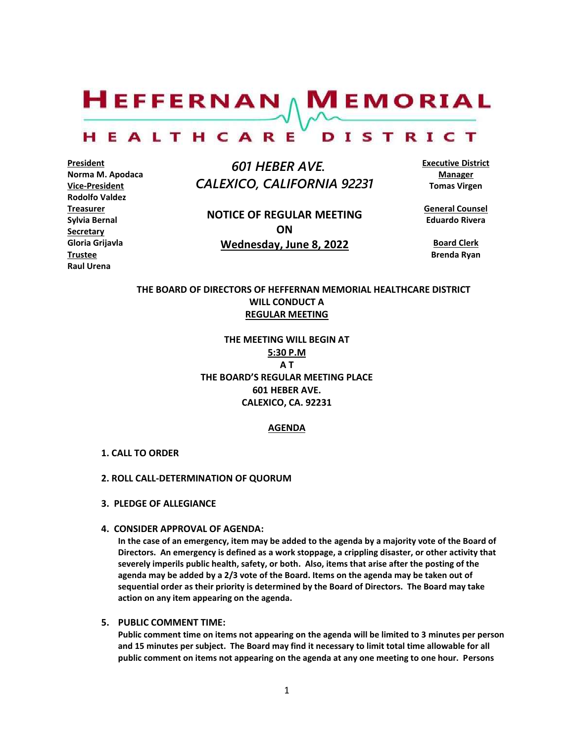$H$ EFFERNAN  $\wedge$  M EMORIAL

#### HEALTHCARE DISTRICT

**President Norma M. Apodaca Vice-President Rodolfo Valdez Treasurer Sylvia Bernal Secretary Gloria Grijavla Trustee Raul Urena**

 *601 HEBER AVE. CALEXICO, CALIFORNIA 92231*

**NOTICE OF REGULAR MEETING ON Wednesday, June 8, 2022**

**Executive District Manager Tomas Virgen**

**General Counsel Eduardo Rivera**

**Board Clerk Brenda Ryan**

# **THE BOARD OF DIRECTORS OF HEFFERNAN MEMORIAL HEALTHCARE DISTRICT WILL CONDUCT A REGULAR MEETING**

**THE MEETING WILL BEGIN AT 5:30 P.M A T THE BOARD'S REGULAR MEETING PLACE 601 HEBER AVE. CALEXICO, CA. 92231**

# **AGENDA**

### **1. CALL TO ORDER**

### **2. ROLL CALL-DETERMINATION OF QUORUM**

- **3. PLEDGE OF ALLEGIANCE**
- **4. CONSIDER APPROVAL OF AGENDA:**

**In the case of an emergency, item may be added to the agenda by a majority vote of the Board of Directors. An emergency is defined as a work stoppage, a crippling disaster, or other activity that severely imperils public health, safety, or both. Also, items that arise after the posting of the agenda may be added by a 2/3 vote of the Board. Items on the agenda may be taken out of sequential order as their priority is determined by the Board of Directors. The Board may take action on any item appearing on the agenda.**

## **5. PUBLIC COMMENT TIME:**

**Public comment time on items not appearing on the agenda will be limited to 3 minutes per person and 15 minutes per subject. The Board may find it necessary to limit total time allowable for all public comment on items not appearing on the agenda at any one meeting to one hour. Persons**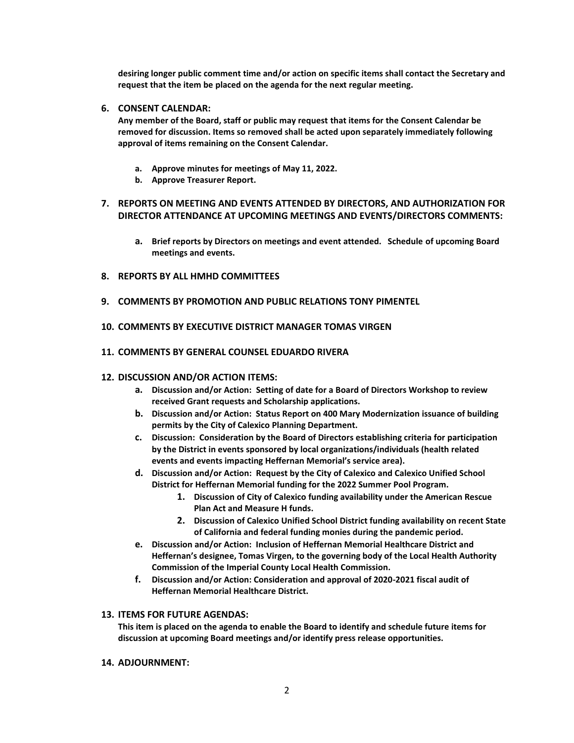**desiring longer public comment time and/or action on specific items shall contact the Secretary and request that the item be placed on the agenda for the next regular meeting.**

# **6. CONSENT CALENDAR:**

**Any member of the Board, staff or public may request that items for the Consent Calendar be removed for discussion. Items so removed shall be acted upon separately immediately following approval of items remaining on the Consent Calendar.**

- **a. Approve minutes for meetings of May 11, 2022.**
- **b. Approve Treasurer Report.**

# **7. REPORTS ON MEETING AND EVENTS ATTENDED BY DIRECTORS, AND AUTHORIZATION FOR DIRECTOR ATTENDANCE AT UPCOMING MEETINGS AND EVENTS/DIRECTORS COMMENTS:**

- **a. Brief reports by Directors on meetings and event attended. Schedule of upcoming Board meetings and events.**
- **8. REPORTS BY ALL HMHD COMMITTEES**
- **9. COMMENTS BY PROMOTION AND PUBLIC RELATIONS TONY PIMENTEL**
- **10. COMMENTS BY EXECUTIVE DISTRICT MANAGER TOMAS VIRGEN**
- **11. COMMENTS BY GENERAL COUNSEL EDUARDO RIVERA**

#### **12. DISCUSSION AND/OR ACTION ITEMS:**

- **a. Discussion and/or Action: Setting of date for a Board of Directors Workshop to review received Grant requests and Scholarship applications.**
- **b. Discussion and/or Action: Status Report on 400 Mary Modernization issuance of building permits by the City of Calexico Planning Department.**
- **c. Discussion: Consideration by the Board of Directors establishing criteria for participation by the District in events sponsored by local organizations/individuals (health related events and events impacting Heffernan Memorial's service area).**
- **d. Discussion and/or Action: Request by the City of Calexico and Calexico Unified School District for Heffernan Memorial funding for the 2022 Summer Pool Program.**
	- **1. Discussion of City of Calexico funding availability under the American Rescue Plan Act and Measure H funds.**
	- **2. Discussion of Calexico Unified School District funding availability on recent State of California and federal funding monies during the pandemic period.**
- **e. Discussion and/or Action: Inclusion of Heffernan Memorial Healthcare District and Heffernan's designee, Tomas Virgen, to the governing body of the Local Health Authority Commission of the Imperial County Local Health Commission.**
- **f. Discussion and/or Action: Consideration and approval of 2020-2021 fiscal audit of Heffernan Memorial Healthcare District.**

#### **13. ITEMS FOR FUTURE AGENDAS:**

**This item is placed on the agenda to enable the Board to identify and schedule future items for discussion at upcoming Board meetings and/or identify press release opportunities.**

**14. ADJOURNMENT:**